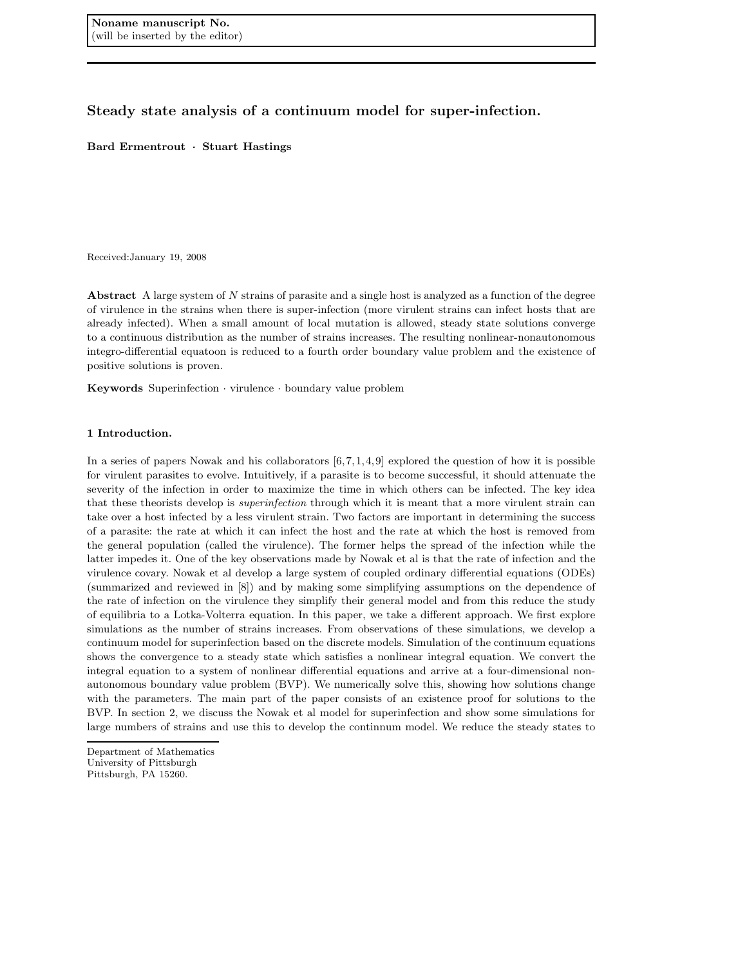Steady state analysis of a continuum model for super-infection.

Bard Ermentrout · Stuart Hastings

Received:January 19, 2008

Abstract A large system of N strains of parasite and a single host is analyzed as a function of the degree of virulence in the strains when there is super-infection (more virulent strains can infect hosts that are already infected). When a small amount of local mutation is allowed, steady state solutions converge to a continuous distribution as the number of strains increases. The resulting nonlinear-nonautonomous integro-differential equatoon is reduced to a fourth order boundary value problem and the existence of positive solutions is proven.

Keywords Superinfection · virulence · boundary value problem

## 1 Introduction.

In a series of papers Nowak and his collaborators  $[6,7,1,4,9]$  explored the question of how it is possible for virulent parasites to evolve. Intuitively, if a parasite is to become successful, it should attenuate the severity of the infection in order to maximize the time in which others can be infected. The key idea that these theorists develop is *superinfection* through which it is meant that a more virulent strain can take over a host infected by a less virulent strain. Two factors are important in determining the success of a parasite: the rate at which it can infect the host and the rate at which the host is removed from the general population (called the virulence). The former helps the spread of the infection while the latter impedes it. One of the key observations made by Nowak et al is that the rate of infection and the virulence covary. Nowak et al develop a large system of coupled ordinary differential equations (ODEs) (summarized and reviewed in [8]) and by making some simplifying assumptions on the dependence of the rate of infection on the virulence they simplify their general model and from this reduce the study of equilibria to a Lotka-Volterra equation. In this paper, we take a different approach. We first explore simulations as the number of strains increases. From observations of these simulations, we develop a continuum model for superinfection based on the discrete models. Simulation of the continuum equations shows the convergence to a steady state which satisfies a nonlinear integral equation. We convert the integral equation to a system of nonlinear differential equations and arrive at a four-dimensional nonautonomous boundary value problem (BVP). We numerically solve this, showing how solutions change with the parameters. The main part of the paper consists of an existence proof for solutions to the BVP. In section 2, we discuss the Nowak et al model for superinfection and show some simulations for large numbers of strains and use this to develop the continnum model. We reduce the steady states to

Department of Mathematics University of Pittsburgh Pittsburgh, PA 15260.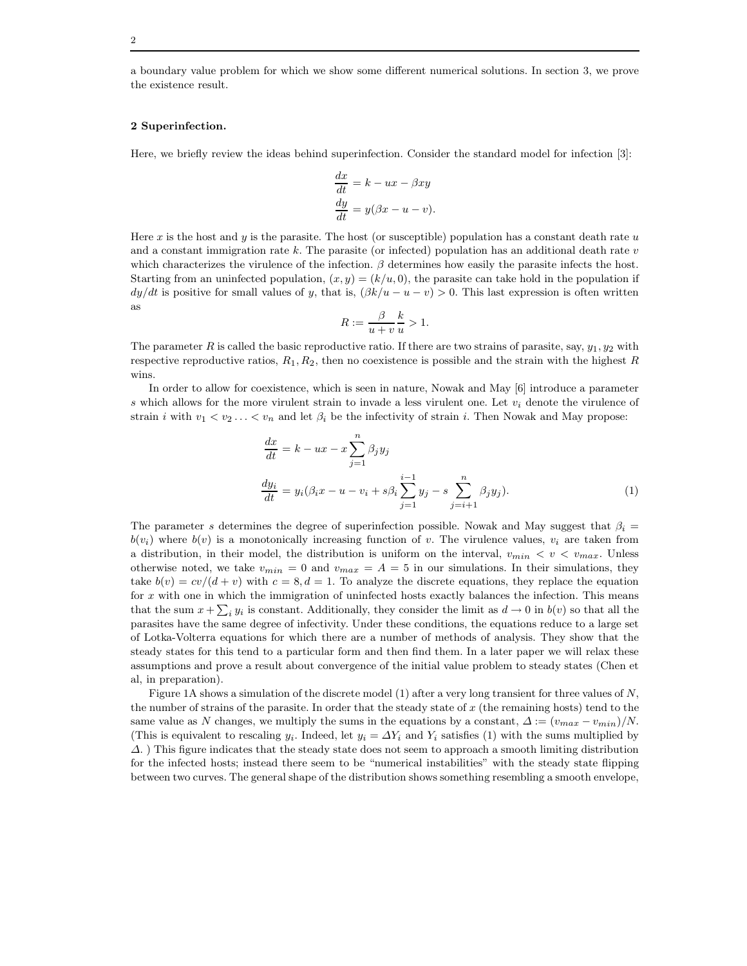a boundary value problem for which we show some different numerical solutions. In section 3, we prove the existence result.

### 2 Superinfection.

Here, we briefly review the ideas behind superinfection. Consider the standard model for infection [3]:

$$
\frac{dx}{dt} = k - ux - \beta xy
$$

$$
\frac{dy}{dt} = y(\beta x - u - v).
$$

Here x is the host and y is the parasite. The host (or susceptible) population has a constant death rate  $u$ and a constant immigration rate k. The parasite (or infected) population has an additional death rate  $v$ which characterizes the virulence of the infection.  $\beta$  determines how easily the parasite infects the host. Starting from an uninfected population,  $(x, y) = (k/u, 0)$ , the parasite can take hold in the population if  $dy/dt$  is positive for small values of y, that is,  $(\beta k/u - u - v) > 0$ . This last expression is often written as

$$
R := \frac{\beta}{u+v} \frac{k}{u} > 1.
$$

The parameter R is called the basic reproductive ratio. If there are two strains of parasite, say,  $y_1, y_2$  with respective reproductive ratios,  $R_1, R_2$ , then no coexistence is possible and the strain with the highest R wins.

In order to allow for coexistence, which is seen in nature, Nowak and May [6] introduce a parameter s which allows for the more virulent strain to invade a less virulent one. Let  $v_i$  denote the virulence of strain i with  $v_1 < v_2 \ldots < v_n$  and let  $\beta_i$  be the infectivity of strain i. Then Nowak and May propose:

$$
\frac{dx}{dt} = k - ux - x \sum_{j=1}^{n} \beta_j y_j
$$
  

$$
\frac{dy_i}{dt} = y_i(\beta_i x - u - v_i + s\beta_i \sum_{j=1}^{i-1} y_j - s \sum_{j=i+1}^{n} \beta_j y_j).
$$
 (1)

The parameter s determines the degree of superinfection possible. Nowak and May suggest that  $\beta_i =$  $b(v_i)$  where  $b(v_i)$  is a monotonically increasing function of v. The virulence values,  $v_i$  are taken from a distribution, in their model, the distribution is uniform on the interval,  $v_{min} < v < v_{max}$ . Unless otherwise noted, we take  $v_{min} = 0$  and  $v_{max} = A = 5$  in our simulations. In their simulations, they take  $b(v) = cv/(d + v)$  with  $c = 8, d = 1$ . To analyze the discrete equations, they replace the equation for x with one in which the immigration of uninfected hosts exactly balances the infection. This means that the sum  $x + \sum_i y_i$  is constant. Additionally, they consider the limit as  $d \to 0$  in  $b(v)$  so that all the parasites have the same degree of infectivity. Under these conditions, the equations reduce to a large set of Lotka-Volterra equations for which there are a number of methods of analysis. They show that the steady states for this tend to a particular form and then find them. In a later paper we will relax these assumptions and prove a result about convergence of the initial value problem to steady states (Chen et al, in preparation).

Figure 1A shows a simulation of the discrete model (1) after a very long transient for three values of  $N$ , the number of strains of the parasite. In order that the steady state of x (the remaining hosts) tend to the same value as N changes, we multiply the sums in the equations by a constant,  $\Delta := (v_{max} - v_{min})/N$ . (This is equivalent to rescaling  $y_i$ . Indeed, let  $y_i = \Delta Y_i$  and  $Y_i$  satisfies (1) with the sums multiplied by  $\Delta$ . ) This figure indicates that the steady state does not seem to approach a smooth limiting distribution for the infected hosts; instead there seem to be "numerical instabilities" with the steady state flipping between two curves. The general shape of the distribution shows something resembling a smooth envelope,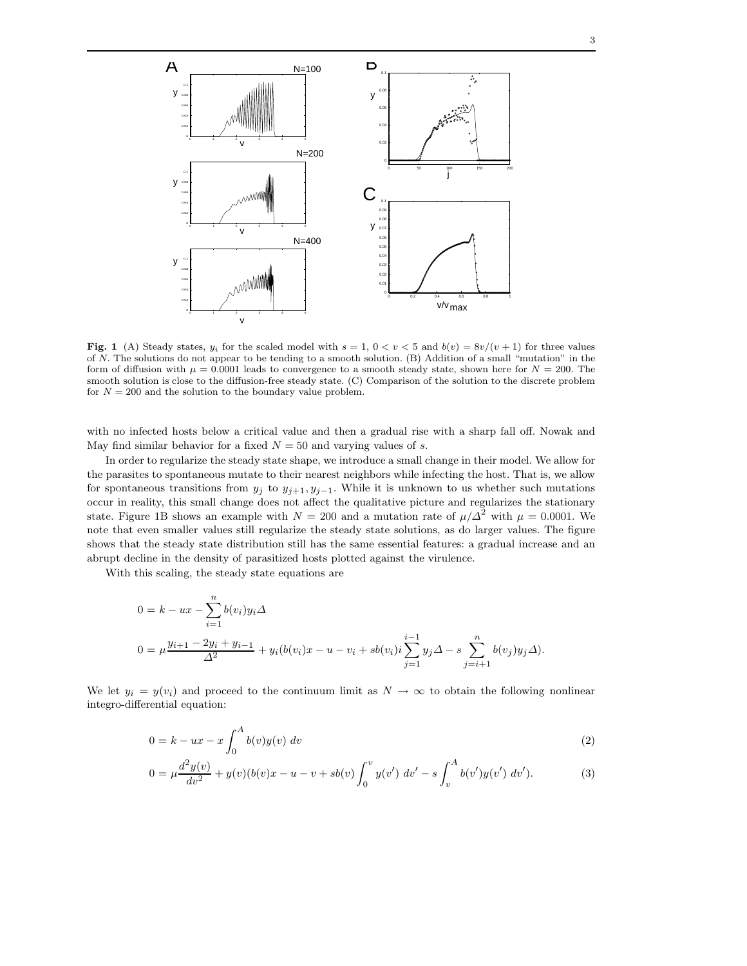

Fig. 1 (A) Steady states,  $y_i$  for the scaled model with  $s = 1$ ,  $0 < v < 5$  and  $b(v) = 8v/(v+1)$  for three values of N. The solutions do not appear to be tending to a smooth solution. (B) Addition of a small "mutation" in the form of diffusion with  $\mu = 0.0001$  leads to convergence to a smooth steady state, shown here for  $N = 200$ . The smooth solution is close to the diffusion-free steady state. (C) Comparison of the solution to the discrete problem for  $N = 200$  and the solution to the boundary value problem.

with no infected hosts below a critical value and then a gradual rise with a sharp fall off. Nowak and May find similar behavior for a fixed  $N = 50$  and varying values of s.

In order to regularize the steady state shape, we introduce a small change in their model. We allow for the parasites to spontaneous mutate to their nearest neighbors while infecting the host. That is, we allow for spontaneous transitions from  $y_j$  to  $y_{j+1}, y_{j-1}$ . While it is unknown to us whether such mutations occur in reality, this small change does not affect the qualitative picture and regularizes the stationary state. Figure 1B shows an example with  $N = 200$  and a mutation rate of  $\mu/\Delta^2$  with  $\mu = 0.0001$ . We note that even smaller values still regularize the steady state solutions, as do larger values. The figure shows that the steady state distribution still has the same essential features: a gradual increase and an abrupt decline in the density of parasitized hosts plotted against the virulence.

With this scaling, the steady state equations are

$$
0 = k - ux - \sum_{i=1}^{n} b(v_i)y_i \Delta
$$
  
\n
$$
0 = \mu \frac{y_{i+1} - 2y_i + y_{i-1}}{\Delta^2} + y_i(b(v_i)x - u - v_i + sb(v_i)i \sum_{j=1}^{i-1} y_j \Delta - s \sum_{j=i+1}^{n} b(v_j)y_j \Delta).
$$

We let  $y_i = y(v_i)$  and proceed to the continuum limit as  $N \to \infty$  to obtain the following nonlinear integro-differential equation:

$$
0 = k - ux - x \int_0^A b(v)y(v) dv
$$
\n
$$
(2)
$$

$$
0 = \mu \frac{d^2 y(v)}{dv^2} + y(v)(b(v)x - u - v + sb(v)) \int_0^v y(v') dv' - s \int_v^A b(v')y(v') dv').
$$
 (3)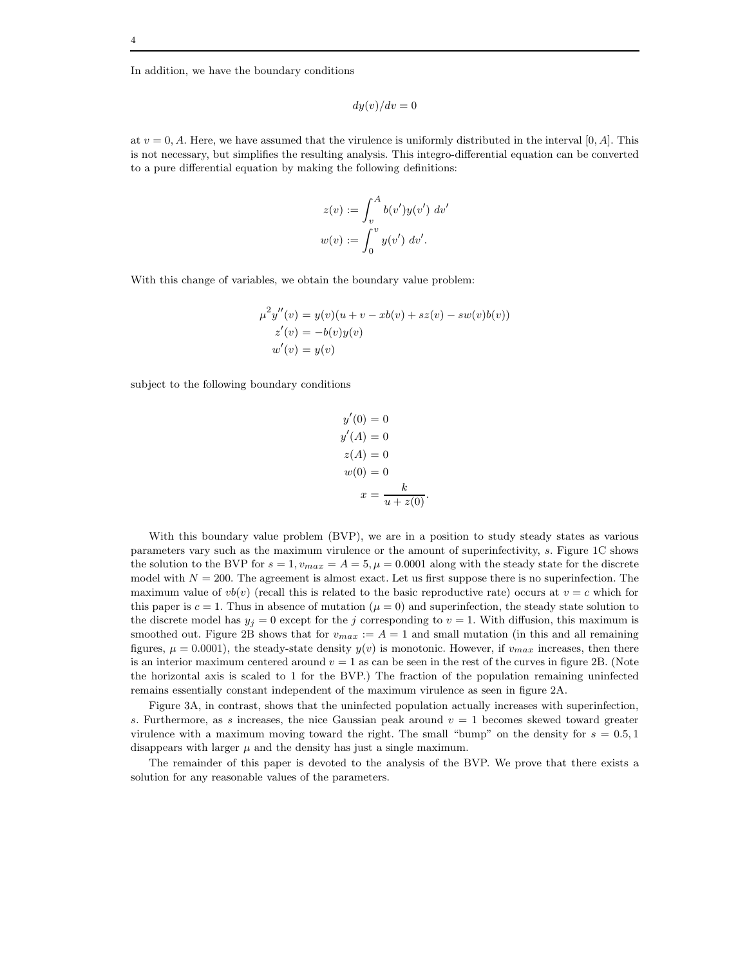In addition, we have the boundary conditions

$$
dy(v)/dv = 0
$$

at  $v = 0$ , A. Here, we have assumed that the virulence is uniformly distributed in the interval [0, A]. This is not necessary, but simplifies the resulting analysis. This integro-differential equation can be converted to a pure differential equation by making the following definitions:

$$
z(v) := \int_{v}^{A} b(v')y(v') dv'
$$
  

$$
w(v) := \int_{0}^{v} y(v') dv'.
$$

With this change of variables, we obtain the boundary value problem:

$$
\mu^2 y''(v) = y(v)(u + v - xb(v) + sz(v) - sw(v)b(v))
$$
  
z'(v) = -b(v)y(v)  

$$
w'(v) = y(v)
$$

subject to the following boundary conditions

$$
y'(0) = 0
$$
  
\n
$$
y'(A) = 0
$$
  
\n
$$
z(A) = 0
$$
  
\n
$$
w(0) = 0
$$
  
\n
$$
x = \frac{k}{u + z(0)}
$$

With this boundary value problem (BVP), we are in a position to study steady states as various parameters vary such as the maximum virulence or the amount of superinfectivity, s. Figure 1C shows the solution to the BVP for  $s = 1$ ,  $v_{max} = A = 5$ ,  $\mu = 0.0001$  along with the steady state for the discrete model with  $N = 200$ . The agreement is almost exact. Let us first suppose there is no superinfection. The maximum value of  $vb(v)$  (recall this is related to the basic reproductive rate) occurs at  $v = c$  which for this paper is  $c = 1$ . Thus in absence of mutation ( $\mu = 0$ ) and superinfection, the steady state solution to the discrete model has  $y_j = 0$  except for the j corresponding to  $v = 1$ . With diffusion, this maximum is smoothed out. Figure 2B shows that for  $v_{max} := A = 1$  and small mutation (in this and all remaining figures,  $\mu = 0.0001$ , the steady-state density  $y(v)$  is monotonic. However, if  $v_{max}$  increases, then there is an interior maximum centered around  $v = 1$  as can be seen in the rest of the curves in figure 2B. (Note the horizontal axis is scaled to 1 for the BVP.) The fraction of the population remaining uninfected remains essentially constant independent of the maximum virulence as seen in figure 2A.

Figure 3A, in contrast, shows that the uninfected population actually increases with superinfection, s. Furthermore, as s increases, the nice Gaussian peak around  $v = 1$  becomes skewed toward greater virulence with a maximum moving toward the right. The small "bump" on the density for  $s = 0.5, 1$ disappears with larger  $\mu$  and the density has just a single maximum.

The remainder of this paper is devoted to the analysis of the BVP. We prove that there exists a solution for any reasonable values of the parameters.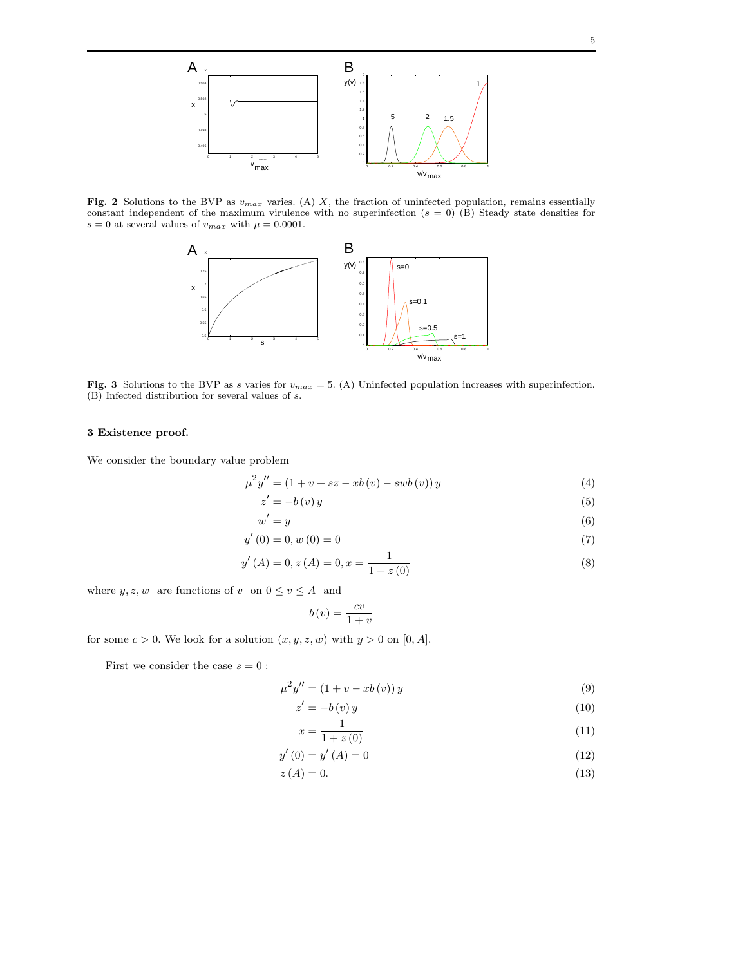Fig. 2 Solutions to the BVP as  $v_{max}$  varies. (A) X, the fraction of uninfected population, remains essentially constant independent of the maximum virulence with no superinfection  $(s = 0)$  (B) Steady state densities for  $s = 0$  at several values of  $v_{max}$  with  $\mu = 0.0001$ .



Fig. 3 Solutions to the BVP as s varies for  $v_{max} = 5$ . (A) Uninfected population increases with superinfection. (B) Infected distribution for several values of s.

# 3 Existence proof.

We consider the boundary value problem

$$
\mu^{2} y'' = (1 + v + sz - xb(v) - swb(v)) y \tag{4}
$$

$$
z' = -b(v)y \tag{5}
$$

$$
w' = y \tag{6}
$$

$$
y'(0) = 0, w(0) = 0
$$
\n(7)

$$
y'(A) = 0, z(A) = 0, x = \frac{1}{1 + z(0)}
$$
\n(8)

where  $y, z, w$  are functions of v on  $0 \le v \le A$  and

$$
b(v) = \frac{cv}{1+v}
$$

for some  $c > 0$ . We look for a solution  $(x, y, z, w)$  with  $y > 0$  on [0, A].

First we consider the case  $s = 0$ :

$$
\mu^2 y'' = (1 + v - xb(v)) y \tag{9}
$$

$$
z' = -b(v)y \tag{10}
$$

$$
x = \frac{1}{1 + z(0)}\tag{11}
$$

$$
y'(0) = y'(A) = 0
$$
\n(12)

 $z(A) = 0.$  (13)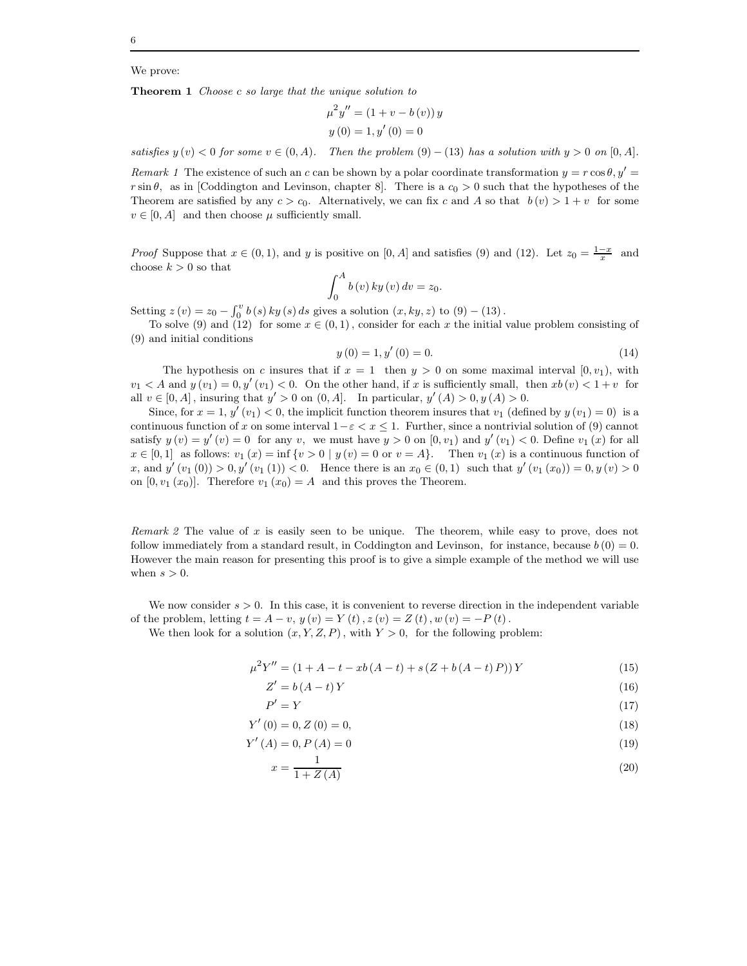## We prove:

Theorem 1 Choose c so large that the unique solution to

$$
\mu^{2} y'' = (1 + v - b(v)) y
$$

$$
y(0) = 1, y'(0) = 0
$$

satisfies  $y(v) < 0$  for some  $v \in (0, A)$ . Then the problem  $(9) - (13)$  has a solution with  $y > 0$  on  $[0, A]$ .

Remark 1 The existence of such an c can be shown by a polar coordinate transformation  $y = r \cos \theta$ ,  $y' =$  $r \sin \theta$ , as in [Coddington and Levinson, chapter 8]. There is a  $c_0 > 0$  such that the hypotheses of the Theorem are satisfied by any  $c > c_0$ . Alternatively, we can fix c and A so that  $b(v) > 1 + v$  for some  $v \in [0, A]$  and then choose  $\mu$  sufficiently small.

*Proof* Suppose that  $x \in (0, 1)$ , and y is positive on [0, A] and satisfies (9) and (12). Let  $z_0 = \frac{1-x}{x}$  and choose  $k > 0$  so that

$$
\int_0^A b(v) \, k y(v) \, dv = z_0.
$$

Setting  $z(v) = z_0 - \int_0^v b(s) \, ky(s) \, ds$  gives a solution  $(x, ky, z)$  to  $(9) - (13)$ .

To solve (9) and (12) for some  $x \in (0,1)$ , consider for each x the initial value problem consisting of (9) and initial conditions

$$
y(0) = 1, y'(0) = 0.
$$
 (14)

The hypothesis on c insures that if  $x = 1$  then  $y > 0$  on some maximal interval  $[0, v_1)$ , with  $v_1 < A$  and  $y(v_1) = 0, y'(v_1) < 0$ . On the other hand, if x is sufficiently small, then  $xb(v) < 1+v$  for all  $v \in [0, A]$ , insuring that  $y' > 0$  on  $(0, A]$ . In particular,  $y'(A) > 0$ ,  $y(A) > 0$ .

Since, for  $x = 1$ ,  $y'(v_1) < 0$ , the implicit function theorem insures that  $v_1$  (defined by  $y(v_1) = 0$ ) is a continuous function of x on some interval  $1-\varepsilon < x \leq 1$ . Further, since a nontrivial solution of (9) cannot satisfy  $y(v) = y'(v) = 0$  for any v, we must have  $y > 0$  on  $[0, v_1)$  and  $y'(v_1) < 0$ . Define  $v_1(x)$  for all  $x \in [0,1]$  as follows:  $v_1(x) = \inf \{v > 0 \mid y(v) = 0 \text{ or } v = A\}.$  Then  $v_1(x)$  is a continuous function of x, and  $y'(v_1(0)) > 0, y'(v_1(1)) < 0$ . Hence there is an  $x_0 \in (0,1)$  such that  $y'(v_1(x_0)) = 0, y(v) > 0$ on  $[0, v_1(x_0)]$ . Therefore  $v_1(x_0) = A$  and this proves the Theorem.

Remark 2 The value of x is easily seen to be unique. The theorem, while easy to prove, does not follow immediately from a standard result, in Coddington and Levinson, for instance, because  $b(0) = 0$ . However the main reason for presenting this proof is to give a simple example of the method we will use when  $s > 0$ .

We now consider  $s > 0$ . In this case, it is convenient to reverse direction in the independent variable of the problem, letting  $t = A - v$ ,  $y(v) = Y(t)$ ,  $z(v) = Z(t)$ ,  $w(v) = -P(t)$ .

We then look for a solution  $(x, Y, Z, P)$ , with  $Y > 0$ , for the following problem:

$$
\mu^{2}Y'' = (1 + A - t - xb(A - t) + s(Z + b(A - t)P))Y
$$
\n(15)

$$
Z' = b(A - t)Y\tag{16}
$$

$$
P' = Y \tag{17}
$$

$$
Y'(0) = 0, Z(0) = 0,\t(18)
$$

$$
Y'(A) = 0, P(A) = 0
$$
\n(19)

$$
x = \frac{1}{1 + Z(A)}\tag{20}
$$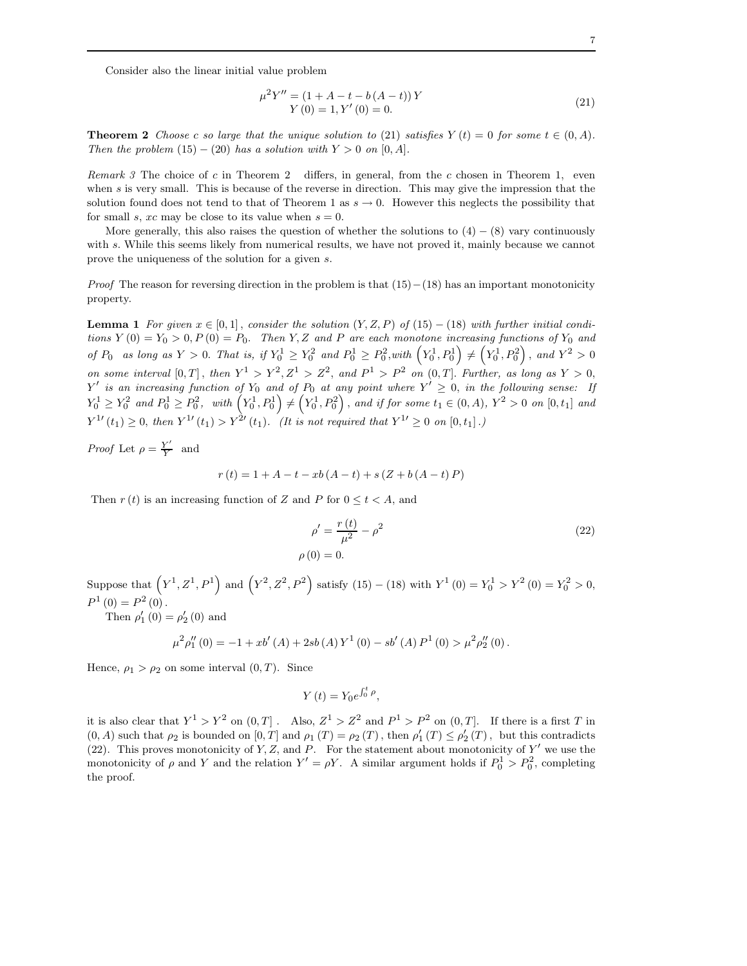Consider also the linear initial value problem

$$
\mu^{2}Y'' = (1 + A - t - b(A - t))Y
$$
  
 
$$
Y(0) = 1, Y'(0) = 0.
$$
 (21)

**Theorem 2** Choose c so large that the unique solution to (21) satisfies  $Y(t) = 0$  for some  $t \in (0, A)$ . Then the problem  $(15) - (20)$  has a solution with  $Y > 0$  on  $[0, A]$ .

Remark 3 The choice of c in Theorem 2 differs, in general, from the c chosen in Theorem 1, even when s is very small. This is because of the reverse in direction. This may give the impression that the solution found does not tend to that of Theorem 1 as  $s \to 0$ . However this neglects the possibility that for small s, xc may be close to its value when  $s = 0$ .

More generally, this also raises the question of whether the solutions to  $(4) - (8)$  vary continuously with s. While this seems likely from numerical results, we have not proved it, mainly because we cannot prove the uniqueness of the solution for a given s.

*Proof* The reason for reversing direction in the problem is that  $(15)–(18)$  has an important monotonicity property.

**Lemma 1** For given  $x \in [0,1]$ , consider the solution  $(Y, Z, P)$  of  $(15) - (18)$  with further initial conditions  $Y(0) = Y_0 > 0, P(0) = P_0$ . Then Y, Z and P are each monotone increasing functions of Y<sub>0</sub> and of  $P_0$  as long as  $Y > 0$ . That is, if  $Y_0^1 \ge Y_0^2$  and  $P_0^1 \ge P_0^2$ , with  $(Y_0^1, P_0^1) \ne (Y_0^1, P_0^2)$ , and  $Y^2 > 0$ on some interval  $[0,T]$ , then  $Y^1 > Y^2, Z^1 > Z^2$ , and  $P^1 > P^2$  on  $(0,T]$ . Further, as long as  $Y > 0$ ,  $Y'$  is an increasing function of  $Y_0$  and of  $P_0$  at any point where  $Y' \geq 0$ , in the following sense: If  $Y_0^1 \ge Y_0^2$  and  $P_0^1 \ge P_0^2$ , with  $\left(Y_0^1, P_0^1\right) \ne \left(Y_0^1, P_0^2\right)$ , and if for some  $t_1 \in (0, A)$ ,  $Y^2 > 0$  on  $[0, t_1]$  and  $Y^{1}{}'(t_1) \geq 0$ , then  $Y^{1}{}'(t_1) > Y^{2}{}'(t_1)$ . (It is not required that  $Y^{1}{}' \geq 0$  on  $[0, t_1]$ .)

Proof Let  $\rho = \frac{Y'}{Y}$  $\frac{Y}{Y}$  and

$$
r(t) = 1 + A - t - xb(A - t) + s(Z + b(A - t)P)
$$

Then  $r(t)$  is an increasing function of Z and P for  $0 \le t < A$ , and

$$
\rho' = \frac{r(t)}{\mu^2} - \rho^2
$$
\n(22)\n  
\n
$$
\rho(0) = 0.
$$

Suppose that  $(Y^1, Z^1, P^1)$  and  $(Y^2, Z^2, P^2)$  satisfy  $(15) - (18)$  with  $Y^1(0) = Y_0^1 > Y^2(0) = Y_0^2 > 0$ ,  $P^{1}(0) = P^{2}(0)$ .

Then  $\rho'_{1}(0) = \rho'_{2}(0)$  and

$$
\mu^{2} \rho_{1}''(0) = -1 + xb'(A) + 2sb(A) Y^{1}(0) - sb'(A) P^{1}(0) > \mu^{2} \rho_{2}''(0).
$$

Hence,  $\rho_1 > \rho_2$  on some interval  $(0, T)$ . Since

$$
Y(t) = Y_0 e^{\int_0^t \rho},
$$

it is also clear that  $Y^1 > Y^2$  on  $(0,T]$ . Also,  $Z^1 > Z^2$  and  $P^1 > P^2$  on  $(0,T]$ . If there is a first T in  $(0, A)$  such that  $\rho_2$  is bounded on  $[0, T]$  and  $\rho_1(T) = \rho_2(T)$ , then  $\rho'_1(T) \leq \rho'_2(T)$ , but this contradicts (22). This proves monotonicity of Y, Z, and P. For the statement about monotonicity of  $Y'$  we use the monotonicity of  $\rho$  and Y and the relation  $Y' = \rho Y$ . A similar argument holds if  $P_0^1 > P_0^2$ , completing the proof.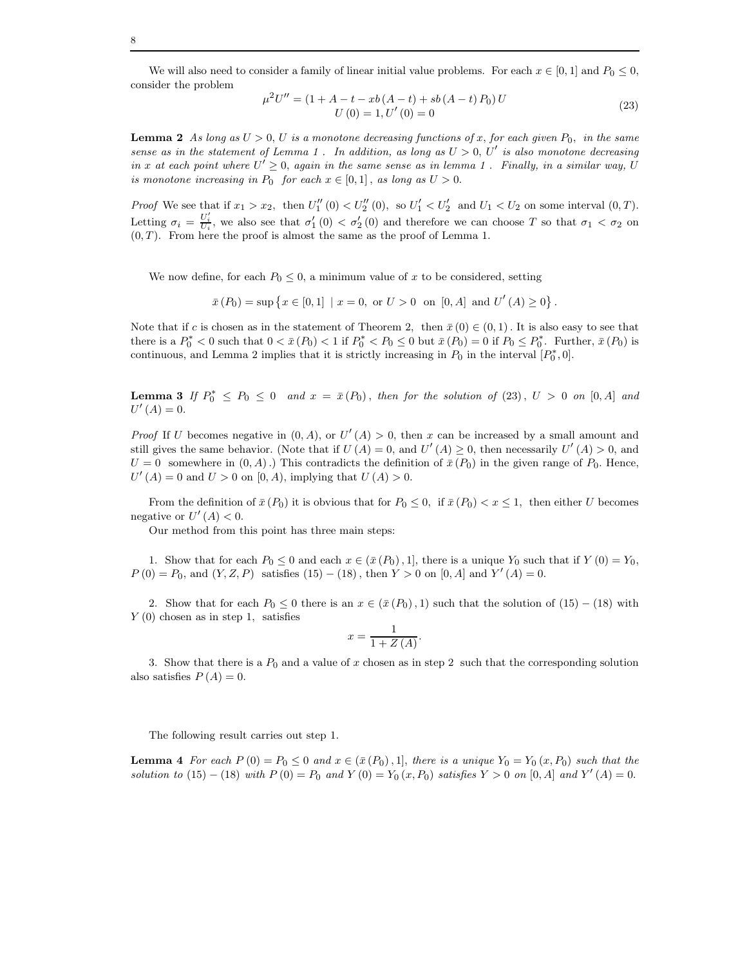We will also need to consider a family of linear initial value problems. For each  $x \in [0,1]$  and  $P_0 \le 0$ , consider the problem

$$
\mu^2 U'' = (1 + A - t - xb(A - t) + sb(A - t) P_0) U U(0) = 1, U'(0) = 0
$$
\n(23)

**Lemma 2** As long as  $U > 0$ , U is a monotone decreasing functions of x, for each given  $P_0$ , in the same sense as in the statement of Lemma 1. In addition, as long as  $U > 0$ ,  $U'$  is also monotone decreasing in x at each point where  $U' \geq 0$ , again in the same sense as in lemma 1. Finally, in a similar way, U is monotone increasing in  $P_0$  for each  $x \in [0,1]$ , as long as  $U > 0$ .

*Proof* We see that if  $x_1 > x_2$ , then  $U''_1(0) < U''_2(0)$ , so  $U'_1 < U'_2$  and  $U_1 < U_2$  on some interval  $(0, T)$ . Letting  $\sigma_i = \frac{U'_i}{U_i}$ , we also see that  $\sigma'_1(0) < \sigma'_2(0)$  and therefore we can choose T so that  $\sigma_1 < \sigma_2$  on  $(0, T)$ . From here the proof is almost the same as the proof of Lemma 1.

We now define, for each  $P_0 \leq 0$ , a minimum value of x to be considered, setting

 $\bar{x}(P_0) = \sup \{x \in [0,1] \mid x = 0, \text{ or } U > 0 \text{ on } [0, A] \text{ and } U'(A) \ge 0\}.$ 

Note that if c is chosen as in the statement of Theorem 2, then  $\bar{x}(0) \in (0,1)$ . It is also easy to see that there is a  $P_0^* < 0$  such that  $0 < \bar{x}(P_0) < 1$  if  $P_0^* < P_0 \le 0$  but  $\bar{x}(P_0) = 0$  if  $P_0 \le P_0^*$ . Further,  $\bar{x}(P_0)$  is continuous, and Lemma 2 implies that it is strictly increasing in  $P_0$  in the interval  $[P_0^*,0]$ .

**Lemma 3** If  $P_0^* \le P_0 \le 0$  and  $x = \bar{x}(P_0)$ , then for the solution of (23),  $U > 0$  on [0, A] and  $U'(A) = 0.$ 

*Proof* If U becomes negative in  $(0, A)$ , or  $U'(A) > 0$ , then x can be increased by a small amount and still gives the same behavior. (Note that if  $U(A) = 0$ , and  $U'(A) \ge 0$ , then necessarily  $U'(A) > 0$ , and  $U = 0$  somewhere in  $(0, A)$ .) This contradicts the definition of  $\bar{x}(P_0)$  in the given range of  $P_0$ . Hence,  $U'(A) = 0$  and  $U > 0$  on  $[0, A)$ , implying that  $U(A) > 0$ .

From the definition of  $\bar{x}(P_0)$  it is obvious that for  $P_0 \le 0$ , if  $\bar{x}(P_0) < x \le 1$ , then either U becomes negative or  $U'(A) < 0$ .

Our method from this point has three main steps:

1. Show that for each  $P_0 \leq 0$  and each  $x \in (\bar{x}(P_0), 1]$ , there is a unique  $Y_0$  such that if  $Y(0) = Y_0$ ,  $P(0) = P_0$ , and  $(Y, Z, P)$  satisfies  $(15) - (18)$ , then  $Y > 0$  on  $[0, A]$  and  $Y'(A) = 0$ .

2. Show that for each  $P_0 \leq 0$  there is an  $x \in (\bar{x}(P_0), 1)$  such that the solution of  $(15) - (18)$  with  $Y(0)$  chosen as in step 1, satisfies

$$
x = \frac{1}{1 + Z(A)}.
$$

3. Show that there is a  $P_0$  and a value of x chosen as in step 2 such that the corresponding solution also satisfies  $P(A) = 0$ .

The following result carries out step 1.

**Lemma 4** For each  $P(0) = P_0 \leq 0$  and  $x \in (\bar{x}(P_0), 1]$ , there is a unique  $Y_0 = Y_0(x, P_0)$  such that the solution to (15) – (18) with  $P(0) = P_0$  and  $Y(0) = Y_0(x, P_0)$  satisfies  $Y > 0$  on  $[0, A]$  and  $Y'(A) = 0$ .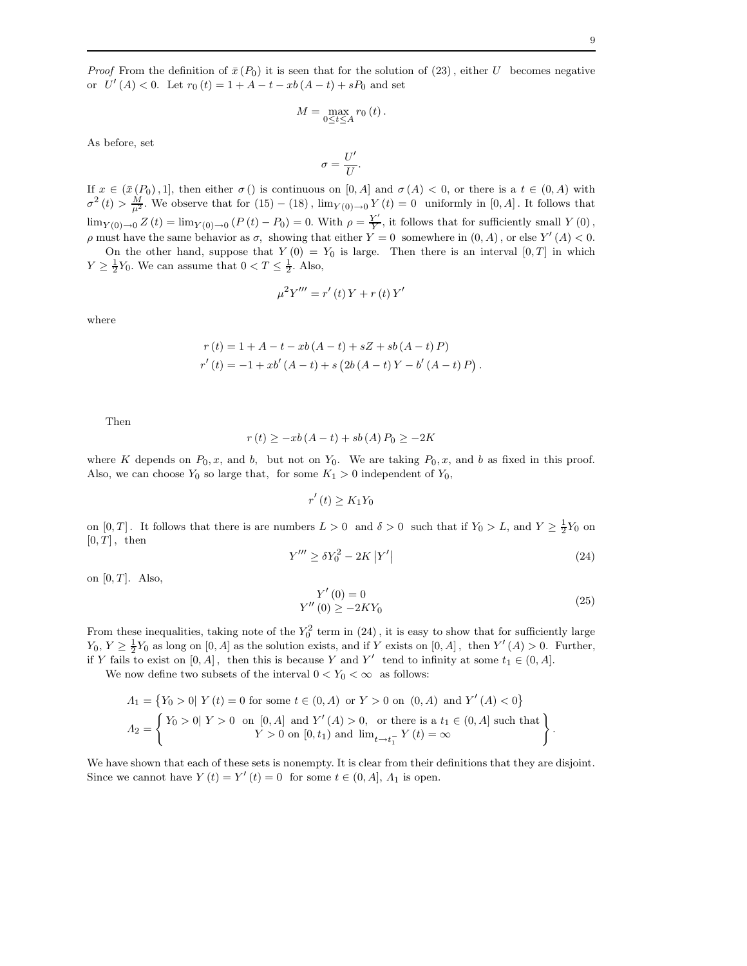*Proof* From the definition of  $\bar{x}(P_0)$  it is seen that for the solution of (23), either U becomes negative or  $U'(A) < 0$ . Let  $r_0(t) = 1 + A - t - xb(A - t) + sP_0$  and set

$$
M=\max_{0\leq t\leq A}r_{0}\left( t\right) .
$$

As before, set

$$
\sigma = \frac{U'}{U}.
$$

If  $x \in (\bar{x}(P_0), 1]$ , then either  $\sigma()$  is continuous on  $[0, A]$  and  $\sigma(A) < 0$ , or there is a  $t \in (0, A)$  with  $\sigma^2(t) > \frac{M}{\mu^2}$ . We observe that for  $(15) - (18)$ ,  $\lim_{Y(0) \to 0} Y(t) = 0$  uniformly in  $[0, A]$ . It follows that  $\lim_{Y(0)\to 0} Z(t) = \lim_{Y(0)\to 0} (P(t) - P_0) = 0.$  With  $\rho = \frac{Y'}{Y}$  $\frac{Y}{Y}$ , it follows that for sufficiently small  $Y(0)$ ,  $ρ$  must have the same behavior as  $σ$ , showing that either  $Y = 0$  somewhere in  $(0, A)$ , or else  $Y'(A) < 0$ .

On the other hand, suppose that  $Y(0) = Y_0$  is large. Then there is an interval  $[0, T]$  in which  $Y \geq \frac{1}{2}Y_0$ . We can assume that  $0 < T \leq \frac{1}{2}$ . Also,

$$
\mu^{2} Y''' = r'(t) Y + r(t) Y'
$$

where

$$
r(t) = 1 + A - t - xb(A - t) + sZ + sb(A - t) P)
$$
  
\n
$$
r'(t) = -1 + xb'(A - t) + s(2b(A - t) Y - b'(A - t) P).
$$

Then

$$
r(t) \geq -xb(A-t) + sb(A)P_0 \geq -2K
$$

where K depends on  $P_0, x$ , and b, but not on  $Y_0$ . We are taking  $P_0, x$ , and b as fixed in this proof. Also, we can choose  $Y_0$  so large that, for some  $K_1 > 0$  independent of  $Y_0$ ,

$$
r'(t) \geq K_1 Y_0
$$

on  $[0, T]$ . It follows that there is are numbers  $L > 0$  and  $\delta > 0$  such that if  $Y_0 > L$ , and  $Y \geq \frac{1}{2}Y_0$  on  $[0, T]$ , then

$$
Y''' \ge \delta Y_0^2 - 2K \left| Y' \right| \tag{24}
$$

on  $[0, T]$ . Also,

$$
Y'(0) = 0
$$
  
 
$$
Y''(0) \ge -2KY_0
$$
 (25)

From these inequalities, taking note of the  $Y_0^2$  term in (24), it is easy to show that for sufficiently large  $Y_0, Y \geq \frac{1}{2}Y_0$  as long on  $[0, A]$  as the solution exists, and if Y exists on  $[0, A]$ , then  $Y'(A) > 0$ . Further, if Y fails to exist on  $[0, A]$ , then this is because Y and Y' tend to infinity at some  $t_1 \in (0, A]$ .

We now define two subsets of the interval  $0 < Y_0 < \infty$  as follows:

$$
A_1 = \{ Y_0 > 0 | Y(t) = 0 \text{ for some } t \in (0, A) \text{ or } Y > 0 \text{ on } (0, A) \text{ and } Y'(A) < 0 \}
$$
  

$$
A_2 = \begin{cases} Y_0 > 0 | Y > 0 \text{ on } [0, A] \text{ and } Y'(A) > 0, \text{ or there is a } t_1 \in (0, A] \text{ such that} \\ Y > 0 \text{ on } [0, t_1) \text{ and } \lim_{t \to t_1^-} Y(t) = \infty \end{cases}.
$$

We have shown that each of these sets is nonempty. It is clear from their definitions that they are disjoint. Since we cannot have  $Y(t) = Y'(t) = 0$  for some  $t \in (0, A], \Lambda_1$  is open.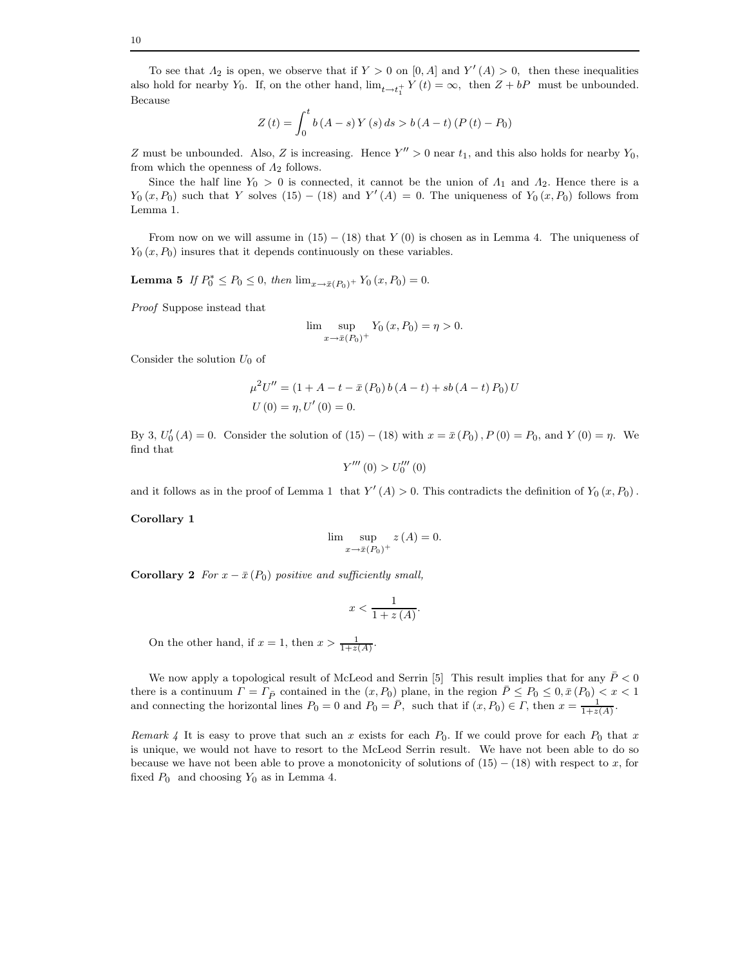To see that  $\Lambda_2$  is open, we observe that if  $Y > 0$  on  $[0, A]$  and  $Y'(A) > 0$ , then these inequalities also hold for nearby  $Y_0$ . If, on the other hand,  $\lim_{t \to t_1^+} Y(t) = \infty$ , then  $Z + bP$  must be unbounded. Because

$$
Z(t) = \int_0^t b(A - s) Y(s) ds > b(A - t) (P(t) - P_0)
$$

Z must be unbounded. Also, Z is increasing. Hence  $Y'' > 0$  near  $t_1$ , and this also holds for nearby  $Y_0$ , from which the openness of  $\Lambda_2$  follows.

Since the half line  $Y_0 > 0$  is connected, it cannot be the union of  $\Lambda_1$  and  $\Lambda_2$ . Hence there is a  $Y_0(x, P_0)$  such that Y solves  $(15) - (18)$  and  $Y'(A) = 0$ . The uniqueness of  $Y_0(x, P_0)$  follows from Lemma 1.

From now on we will assume in  $(15) - (18)$  that Y  $(0)$  is chosen as in Lemma 4. The uniqueness of  $Y_0(x, P_0)$  insures that it depends continuously on these variables.

**Lemma 5** If  $P_0^* \le P_0 \le 0$ , then  $\lim_{x \to \bar{x}(P_0)^+} Y_0(x, P_0) = 0$ .

Proof Suppose instead that

$$
\lim_{x \to \bar{x}(P_0)^+} \sup Y_0(x, P_0) = \eta > 0.
$$

Consider the solution  $U_0$  of

$$
\mu^2 U'' = (1 + A - t - \bar{x} (P_0) b (A - t) + sb (A - t) P_0) U
$$
  
U (0) =  $\eta$ , U' (0) = 0.

By 3,  $U'_0(A) = 0$ . Consider the solution of  $(15) - (18)$  with  $x = \bar{x}(P_0)$ ,  $P(0) = P_0$ , and  $Y(0) = \eta$ . We find that

$$
Y'''(0) > U_0'''(0)
$$

and it follows as in the proof of Lemma 1 that  $Y'(A) > 0$ . This contradicts the definition of  $Y_0(x, P_0)$ .

#### Corollary 1

$$
\lim_{x \to \bar{x}(P_0)^+} z(A) = 0.
$$

Corollary 2 For  $x - \bar{x}(P_0)$  positive and sufficiently small,

$$
x < \frac{1}{1 + z(A)}.
$$

On the other hand, if  $x = 1$ , then  $x > \frac{1}{1 + z(A)}$ .

We now apply a topological result of McLeod and Serrin [5] This result implies that for any  $\bar{P} < 0$ there is a continuum  $\Gamma = \Gamma_{\bar{P}}$  contained in the  $(x, P_0)$  plane, in the region  $\bar{P} \le P_0 \le 0, \bar{x}(P_0) < x < 1$ and connecting the horizontal lines  $P_0 = 0$  and  $P_0 = \overline{P}$ , such that if  $(x, P_0) \in \Gamma$ , then  $x = \frac{1}{1+z(A)}$ .

Remark 4 It is easy to prove that such an x exists for each  $P_0$ . If we could prove for each  $P_0$  that x is unique, we would not have to resort to the McLeod Serrin result. We have not been able to do so because we have not been able to prove a monotonicity of solutions of  $(15) - (18)$  with respect to x, for fixed  $P_0$  and choosing  $Y_0$  as in Lemma 4.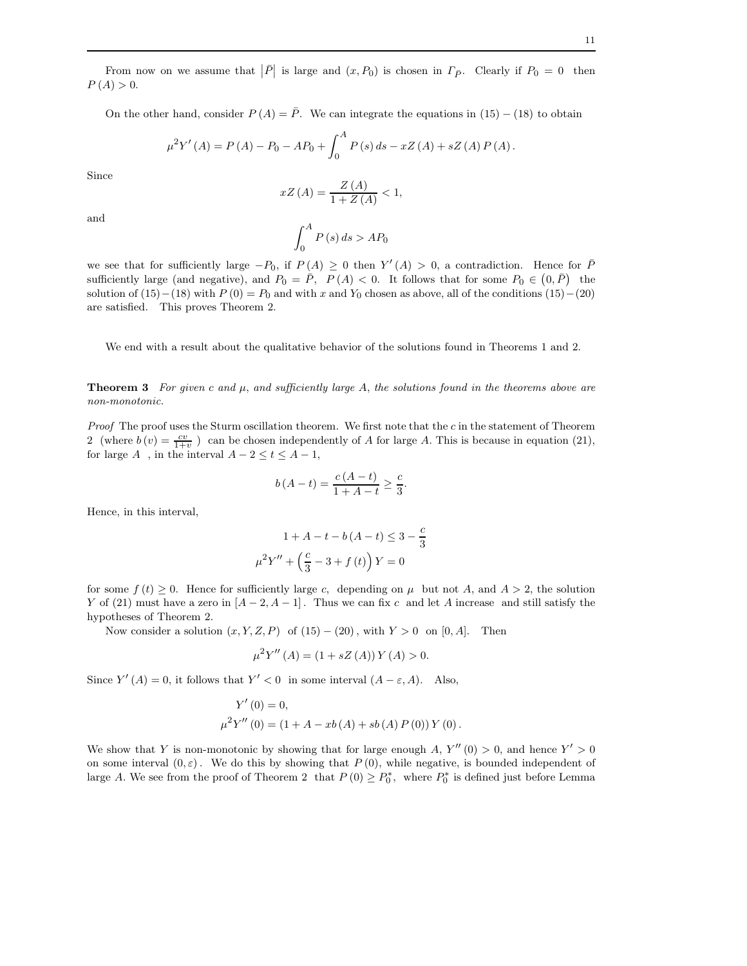From now on we assume that  $|\bar{P}|$  is large and  $(x, P_0)$  is chosen in  $\Gamma_{\bar{P}}$ . Clearly if  $P_0 = 0$  then  $P(A) > 0.$ 

On the other hand, consider  $P(A) = \overline{P}$ . We can integrate the equations in (15) – (18) to obtain

$$
\mu^{2} Y'(A) = P(A) - P_{0} - AP_{0} + \int_{0}^{A} P(s) ds - xZ(A) + sZ(A) P(A).
$$

Since

$$
xZ(A) = \frac{Z(A)}{1 + Z(A)} < 1,
$$

and

$$
\int_0^A P(s) \, ds > AP_0
$$

we see that for sufficiently large  $-P_0$ , if  $P(A) \geq 0$  then  $Y'(A) > 0$ , a contradiction. Hence for  $\overline{P}$ sufficiently large (and negative), and  $P_0 = \overline{P}$ ,  $P(A) < 0$ . It follows that for some  $P_0 \in (0, \overline{P})$  the solution of  $(15)-(18)$  with  $P(0) = P_0$  and with x and  $Y_0$  chosen as above, all of the conditions  $(15)-(20)$ are satisfied. This proves Theorem 2.

We end with a result about the qualitative behavior of the solutions found in Theorems 1 and 2.

**Theorem 3** For given c and  $\mu$ , and sufficiently large A, the solutions found in the theorems above are non-monotonic.

*Proof* The proof uses the Sturm oscillation theorem. We first note that the  $c$  in the statement of Theorem 2 (where  $b(v) = \frac{cv}{1+v}$ ) can be chosen independently of A for large A. This is because in equation (21), for large  $A\;$  , in the interval  $A-2\leq t\leq A-1,$ 

$$
b(A - t) = \frac{c(A - t)}{1 + A - t} \ge \frac{c}{3}.
$$

Hence, in this interval,

$$
1 + A - t - b(A - t) \le 3 - \frac{c}{3}
$$

$$
\mu^{2} Y'' + \left(\frac{c}{3} - 3 + f(t)\right) Y = 0
$$

for some  $f(t) \geq 0$ . Hence for sufficiently large c, depending on  $\mu$  but not A, and  $A > 2$ , the solution Y of (21) must have a zero in  $[A-2, A-1]$ . Thus we can fix c and let A increase and still satisfy the hypotheses of Theorem 2.

Now consider a solution  $(x, Y, Z, P)$  of  $(15) - (20)$ , with  $Y > 0$  on  $[0, A]$ . Then

$$
\mu^{2} Y''(A) = (1 + sZ(A)) Y(A) > 0.
$$

Since  $Y'(A) = 0$ , it follows that  $Y' < 0$  in some interval  $(A - \varepsilon, A)$ . Also,

$$
Y'(0) = 0,
$$
  

$$
\mu^{2} Y''(0) = (1 + A - xb(A) + sb(A) P(0)) Y(0).
$$

We show that Y is non-monotonic by showing that for large enough A,  $Y''(0) > 0$ , and hence  $Y' > 0$ on some interval  $(0, \varepsilon)$ . We do this by showing that  $P(0)$ , while negative, is bounded independent of large A. We see from the proof of Theorem 2 that  $P(0) \ge P_0^*$ , where  $P_0^*$  is defined just before Lemma